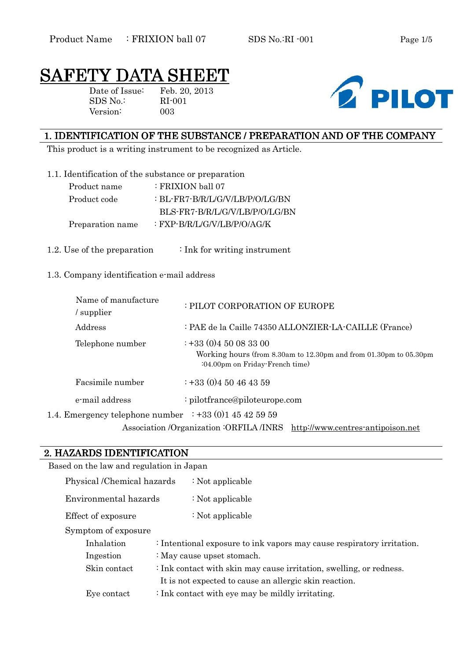# SAFETY DATA SH

Date of Issue: Feb. 20, 2013 SDS No.: RI-001 Version: 003



#### 1. IDENTIFICATION OF THE SUBSTANCE / PREPARATION AND OF THE COMPANY

This product is a writing instrument to be recognized as Article.

1.1. Identification of the substance or preparation

| Product name     | $\therefore$ FRIXION ball 07    |
|------------------|---------------------------------|
| Product code     | : BL-FR7-B/R/L/G/V/LB/P/O/LG/BN |
|                  | BLS-FR7-B/R/L/G/V/LB/P/O/LG/BN  |
| Preparation name | : FXP-B/R/L/G/V/LB/P/O/AG/K     |

1.2. Use of the preparation  $\cdot$  Ink for writing instrument

#### 1.3. Company identification e-mail address

| Name of manufacture<br>supplier                                    | : PILOT CORPORATION OF EUROPE                                                                                                       |
|--------------------------------------------------------------------|-------------------------------------------------------------------------------------------------------------------------------------|
| Address                                                            | : PAE de la Caille 74350 ALLONZIER-LA-CAILLE (France)                                                                               |
| Telephone number                                                   | $\div$ +33 (0)4 50 08 33 00<br>Working hours (from 8.30am to 12.30pm and from 01.30pm to 05.30pm<br>:04.00pm on Friday-French time) |
| Facsimile number                                                   | $\div$ +33 (0)4 50 46 43 59                                                                                                         |
| e-mail address                                                     | : pilotfrance@piloteurope.com                                                                                                       |
| 1.4. Emergency telephone number $\therefore$ +33 (0) 1 45 42 59 59 |                                                                                                                                     |

Association /Organization :ORFILA /INRS http://www.centres-antipoison.net

# 2. HAZARDS IDENTIFICATION 2. HAZARDS IDENTIFICATION

| Based on the law and regulation in Japan                        |                                                                        |                            |  |
|-----------------------------------------------------------------|------------------------------------------------------------------------|----------------------------|--|
| Physical /Chemical hazards                                      |                                                                        | : Not applicable           |  |
| Environmental hazards                                           |                                                                        | : Not applicable           |  |
| Effect of exposure                                              |                                                                        | : Not applicable           |  |
| Symptom of exposure                                             |                                                                        |                            |  |
| Inhalation                                                      | : Intentional exposure to ink vapors may cause respiratory irritation. |                            |  |
| Ingestion                                                       |                                                                        | : May cause upset stomach. |  |
| Skin contact                                                    | : Ink contact with skin may cause irritation, swelling, or redness.    |                            |  |
|                                                                 | It is not expected to cause an allergic skin reaction.                 |                            |  |
| : Ink contact with eye may be mildly irritating.<br>Eye contact |                                                                        |                            |  |
|                                                                 |                                                                        |                            |  |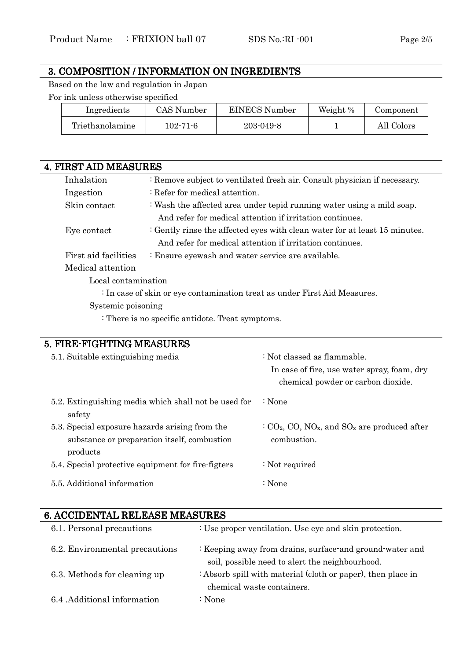#### 3. COMPOSITION / INFORMATION ON INGREDIENTS

Based on the law and regulation in Japan

For ink unless otherwise specified

| Ingredients     | CAS Number     | EINECS Number   | Weight % | Component  |
|-----------------|----------------|-----------------|----------|------------|
| Triethanolamine | $102 - 71 - 6$ | $203 - 049 - 8$ |          | All Colors |

| <b>4. FIRST AID MEASURES</b> |                                                                            |
|------------------------------|----------------------------------------------------------------------------|
| Inhalation                   | : Remove subject to ventilated fresh air. Consult physician if necessary.  |
| Ingestion                    | : Refer for medical attention.                                             |
| Skin contact                 | : Wash the affected area under tepid running water using a mild soap.      |
|                              | And refer for medical attention if irritation continues.                   |
| Eye contact                  | : Gently rinse the affected eyes with clean water for at least 15 minutes. |
|                              | And refer for medical attention if irritation continues.                   |
| First aid facilities         | : Ensure eyewash and water service are available.                          |
| Medical attention            |                                                                            |
| Local contamination          |                                                                            |
|                              | : In case of skin or eye contamination treat as under First Aid Measures.  |
| Systemic poisoning           |                                                                            |

: There is no specific antidote. Treat symptoms.

# 5. FIRE-FIGHTING MEASURES

| 5.1. Suitable extinguishing media                                                                         | : Not classed as flammable.<br>In case of fire, use water spray, foam, dry          |
|-----------------------------------------------------------------------------------------------------------|-------------------------------------------------------------------------------------|
|                                                                                                           | chemical powder or carbon dioxide.                                                  |
| 5.2. Extinguishing media which shall not be used for<br>safety                                            | $\therefore$ None                                                                   |
| 5.3. Special exposure hazards arising from the<br>substance or preparation itself, combustion<br>products | $C_2$ , CO, NO <sub>x</sub> , and SO <sub>x</sub> are produced after<br>combustion. |
| 5.4. Special protective equipment for fire-figters                                                        | : Not required                                                                      |
| 5.5. Additional information                                                                               | $\therefore$ None                                                                   |

| <u>u. Augupen lali helihade meadolied</u> |                                                              |
|-------------------------------------------|--------------------------------------------------------------|
| 6.1. Personal precautions                 | : Use proper ventilation. Use eye and skin protection.       |
| 6.2. Environmental precautions            | : Keeping away from drains, surface and ground water and     |
|                                           | soil, possible need to alert the neighbourhood.              |
| 6.3. Methods for cleaning up              | : Absorb spill with material (cloth or paper), then place in |
|                                           | chemical waste containers.                                   |
| 6.4 Additional information                | : None                                                       |
|                                           |                                                              |

#### 6. ACCIDENTAL RELEASE MEASURES 6.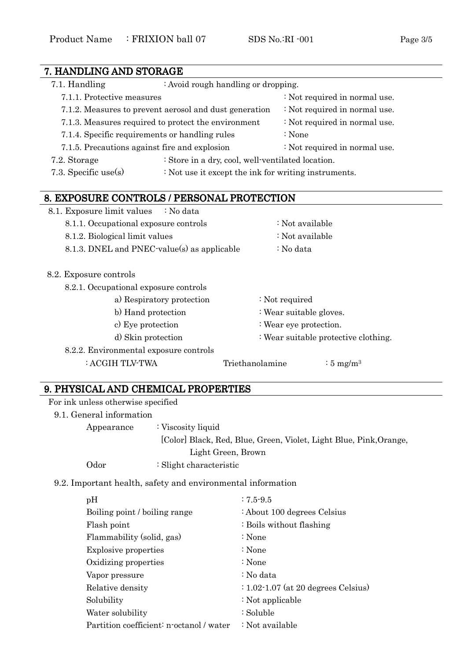| 7. HANDLING AND STORAGE                        |                                                        |                                                      |  |
|------------------------------------------------|--------------------------------------------------------|------------------------------------------------------|--|
| 7.1. Handling                                  | : Avoid rough handling or dropping.                    |                                                      |  |
| 7.1.1. Protective measures                     |                                                        | : Not required in normal use.                        |  |
|                                                | 7.1.2. Measures to prevent aerosol and dust generation | : Not required in normal use.                        |  |
|                                                | 7.1.3. Measures required to protect the environment    | : Not required in normal use.                        |  |
| 7.1.4. Specific requirements or handling rules |                                                        | : None                                               |  |
| 7.1.5. Precautions against fire and explosion  |                                                        | : Not required in normal use.                        |  |
| 7.2. Storage                                   | : Store in a dry, cool, well-ventilated location.      |                                                      |  |
| 7.3. Specific use $(s)$                        |                                                        | : Not use it except the ink for writing instruments. |  |
|                                                |                                                        |                                                      |  |
| 8. EXPOSURE CONTROLS / PERSONAL PROTECTION     |                                                        |                                                      |  |
| 8.1. Exposure limit values                     | : No data                                              |                                                      |  |
| 8.1.1. Occupational exposure controls          |                                                        | : Not available                                      |  |
| 8.1.2. Biological limit values                 |                                                        | : Not available                                      |  |
| 8.1.3. DNEL and PNEC-value(s) as applicable    |                                                        | : No data                                            |  |
|                                                |                                                        |                                                      |  |
| 8.2. Exposure controls                         |                                                        |                                                      |  |
| 8.2.1. Occupational exposure controls          |                                                        |                                                      |  |
|                                                | a) Respiratory protection                              | : Not required                                       |  |
| b) Hand protection                             |                                                        | : Wear suitable gloves.                              |  |
| c) Eye protection                              |                                                        | : Wear eye protection.                               |  |
| d) Skin protection                             |                                                        | : Wear suitable protective clothing.                 |  |
| 8.2.2. Environmental exposure controls         |                                                        |                                                      |  |
| : ACGIH TLV-TWA                                | Triethanolamine                                        | $\frac{1}{2}$ 5 mg/m <sup>3</sup>                    |  |

## 9. PHYSICAL AND CHEMICAL PROPERTIES 9. PHYSICAL AND CHEMICAL PROPERTIES

|  |  |  | For ink unless otherwise specified |  |
|--|--|--|------------------------------------|--|
|--|--|--|------------------------------------|--|

9.1. General information

Appearance : Viscosity liquid

[Color] Black, Red, Blue, Green, Violet, Light Blue, Pink,Orange,

Light Green, Brown

Odor : Slight characteristic

9.2. Important health, safety and environmental information

| pH                                       | $: 7.5 - 9.5$                                  |
|------------------------------------------|------------------------------------------------|
| Boiling point / boiling range            | : About 100 degrees Celsius                    |
| Flash point                              | : Boils without flashing                       |
| Flammability (solid, gas)                | : None                                         |
| <b>Explosive properties</b>              | : None                                         |
| Oxidizing properties                     | : None                                         |
| Vapor pressure                           | : No data                                      |
| Relative density                         | $\div 1.02 \cdot 1.07$ (at 20 degrees Celsius) |
| Solubility                               | : Not applicable                               |
| Water solubility                         | : Soluble                                      |
| Partition coefficient: n-octanol / water | : Not available                                |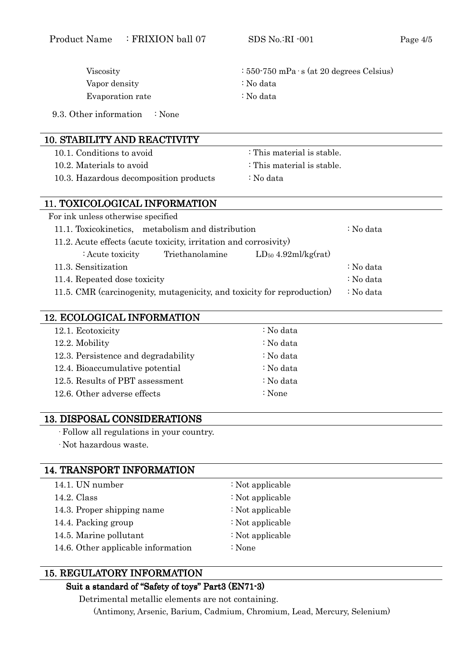| Viscosity                                                              | $: 550 - 750$ mPa $\cdot$ s (at 20 degrees Celsius) |
|------------------------------------------------------------------------|-----------------------------------------------------|
| Vapor density                                                          | : No data                                           |
| Evaporation rate                                                       | : No data                                           |
| 9.3. Other information<br>$\therefore$ None                            |                                                     |
|                                                                        |                                                     |
| <b>10. STABILITY AND REACTIVITY</b>                                    |                                                     |
| 10.1. Conditions to avoid                                              | : This material is stable.                          |
| 10.2. Materials to avoid                                               | : This material is stable.                          |
| 10.3. Hazardous decomposition products                                 | : No data                                           |
|                                                                        |                                                     |
| 11. TOXICOLOGICAL INFORMATION                                          |                                                     |
| For ink unless otherwise specified                                     |                                                     |
| 11.1. Toxicokinetics, metabolism and distribution                      | : No data                                           |
| 11.2. Acute effects (acute toxicity, irritation and corrosivity)       |                                                     |
| Triethanolamine<br>: Acute toxicity                                    | $LD_{50}$ 4.92ml/kg(rat)                            |
| 11.3. Sensitization                                                    | : No data                                           |
| 11.4. Repeated dose toxicity                                           | : No data                                           |
| 11.5. CMR (carcinogenity, mutagenicity, and toxicity for reproduction) | : No data                                           |
|                                                                        |                                                     |
| 12. ECOLOGICAL INFORMATION                                             |                                                     |
| 12.1. Ecotoxicity                                                      | : No data                                           |
| 12.2. Mobility                                                         | : No data                                           |
| 12.3. Persistence and degradability                                    | : No data                                           |
| 12.4. Bioaccumulative potential                                        | : No data                                           |
| 12.5. Results of PBT assessment                                        | : No data                                           |
| 12.6. Other adverse effects                                            | : None                                              |
|                                                                        |                                                     |
| <b>13. DISPOSAL CONSIDERATIONS</b>                                     |                                                     |
| · Follow all regulations in your country.<br>· Not hazardous waste.    |                                                     |
|                                                                        |                                                     |
| <b>14. TRANSPORT INFORMATION</b>                                       |                                                     |
| 14.1. UN number                                                        | : Not applicable                                    |
| 14.2. Class                                                            | : Not applicable                                    |
| 14.3. Proper shipping name                                             | : Not applicable                                    |
| 14.4. Packing group                                                    | : Not applicable                                    |
| 14.5. Marine pollutant                                                 | : Not applicable                                    |
| 14.6. Other applicable information                                     | : None                                              |
|                                                                        |                                                     |
| <b>15. REGULATORY INFORMATION</b>                                      |                                                     |
|                                                                        |                                                     |

Product Name : FRIXION ball 07 SDS No.:RI -001 Page 4/5

#### Suit a standard of "Safety of toys" Part3 (EN71-3)

Detrimental metallic elements are not containing.

(Antimony, Arsenic, Barium, Cadmium, Chromium, Lead, Mercury, Selenium)